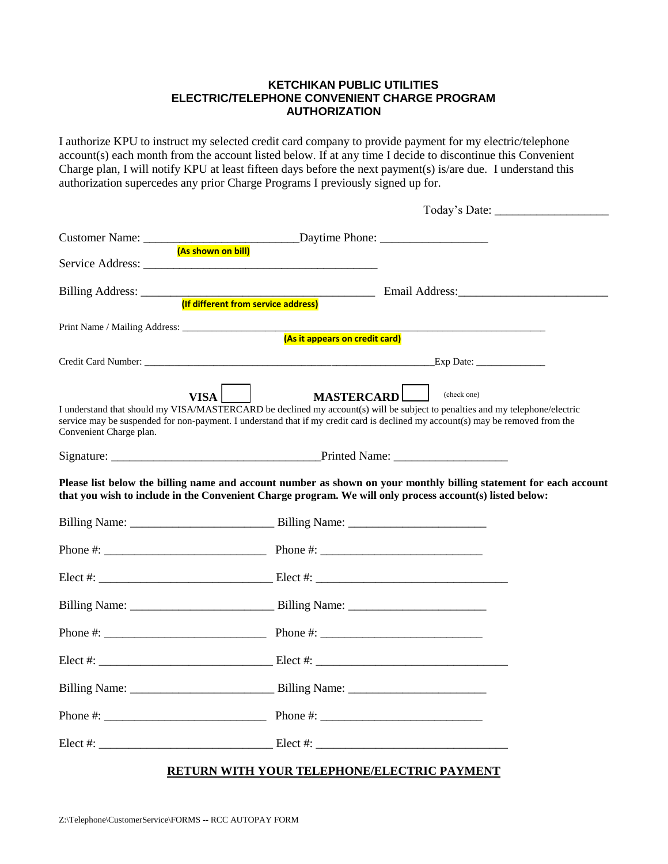# **KETCHIKAN PUBLIC UTILITIES ELECTRIC/TELEPHONE CONVENIENT CHARGE PROGRAM AUTHORIZATION**

I authorize KPU to instruct my selected credit card company to provide payment for my electric/telephone account(s) each month from the account listed below. If at any time I decide to discontinue this Convenient Charge plan, I will notify KPU at least fifteen days before the next payment(s) is/are due. I understand this authorization supercedes any prior Charge Programs I previously signed up for.

| (As it appears on credit card)                                                                                                                                                                                                                                                                                                        |                                         |
|---------------------------------------------------------------------------------------------------------------------------------------------------------------------------------------------------------------------------------------------------------------------------------------------------------------------------------------|-----------------------------------------|
|                                                                                                                                                                                                                                                                                                                                       | Credit Card Number: Exp Date: Exp Date: |
| MASTERCARD<br>$VISA$    <br>(check one)<br>I understand that should my VISA/MASTERCARD be declined my account(s) will be subject to penalties and my telephone/electric<br>service may be suspended for non-payment. I understand that if my credit card is declined my account(s) may be removed from the<br>Convenient Charge plan. |                                         |
|                                                                                                                                                                                                                                                                                                                                       |                                         |
| Please list below the billing name and account number as shown on your monthly billing statement for each account<br>that you wish to include in the Convenient Charge program. We will only process account(s) listed below:                                                                                                         |                                         |
|                                                                                                                                                                                                                                                                                                                                       |                                         |
|                                                                                                                                                                                                                                                                                                                                       |                                         |
|                                                                                                                                                                                                                                                                                                                                       |                                         |
|                                                                                                                                                                                                                                                                                                                                       |                                         |
|                                                                                                                                                                                                                                                                                                                                       |                                         |
|                                                                                                                                                                                                                                                                                                                                       |                                         |
|                                                                                                                                                                                                                                                                                                                                       |                                         |
|                                                                                                                                                                                                                                                                                                                                       | Phone $\#$ : Phone $\#$ :               |
|                                                                                                                                                                                                                                                                                                                                       |                                         |

# **RETURN WITH YOUR TELEPHONE/ELECTRIC PAYMENT**